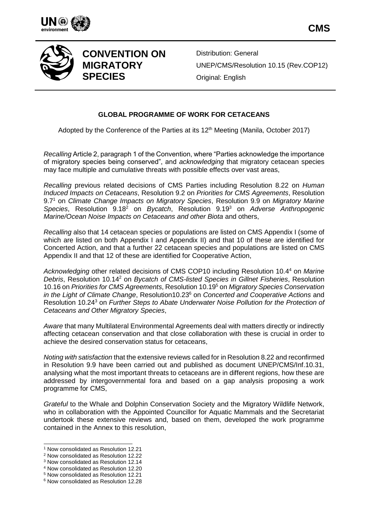



**CONVENTION ON MIGRATORY SPECIES**

Distribution: General UNEP/CMS/Resolution 10.15 (Rev.COP12) Original: English

# **GLOBAL PROGRAMME OF WORK FOR CETACEANS**

Adopted by the Conference of the Parties at its 12<sup>th</sup> Meeting (Manila, October 2017)

*Recalling* Article 2, paragraph 1 of the Convention, where "Parties acknowledge the importance of migratory species being conserved", and *acknowledging* that migratory cetacean species may face multiple and cumulative threats with possible effects over vast areas,

*Recalling* previous related decisions of CMS Parties including Resolution 8.22 on *Human Induced Impacts on Cetaceans*, Resolution 9.2 on *Priorities for CMS Agreements*, Resolution 9.7<sup>1</sup> on *Climate Change Impacts on Migratory Species*, Resolution 9.9 on *Migratory Marine Species*, Resolution 9.18<sup>2</sup> on *Bycatch*, Resolution 9.19<sup>3</sup> on *Adverse Anthropogenic Marine/Ocean Noise Impacts on Cetaceans and other Biota* and others,

*Recalling* also that 14 cetacean species or populations are listed on CMS Appendix I (some of which are listed on both Appendix I and Appendix II) and that 10 of these are identified for Concerted Action, and that a further 22 cetacean species and populations are listed on CMS Appendix II and that 12 of these are identified for Cooperative Action,

*Acknowledging* other related decisions of CMS COP10 including Resolution 10.4<sup>4</sup> on *Marine Debris*, Resolution 10.14<sup>2</sup> on *Bycatch of CMS-listed Species in Gillnet Fisheries*, Resolution 10.16 on *Priorities for CMS Agreements*, Resolution 10.19<sup>5</sup> on *Migratory Species Conservation in the Light of Climate Change*, Resolution10.23<sup>6</sup> on *Concerted and Cooperative Actions* and Resolution 10.24<sup>3</sup> on *Further Steps to Abate Underwater Noise Pollution for the Protection of Cetaceans and Other Migratory Species*,

*Aware* that many Multilateral Environmental Agreements deal with matters directly or indirectly affecting cetacean conservation and that close collaboration with these is crucial in order to achieve the desired conservation status for cetaceans,

*Noting with satisfaction* that the extensive reviews called for in Resolution 8.22 and reconfirmed in Resolution 9.9 have been carried out and published as document UNEP/CMS/Inf.10.31, analysing what the most important threats to cetaceans are in different regions, how these are addressed by intergovernmental fora and based on a gap analysis proposing a work programme for CMS,

*Grateful* to the Whale and Dolphin Conservation Society and the Migratory Wildlife Network, who in collaboration with the Appointed Councillor for Aquatic Mammals and the Secretariat undertook these extensive reviews and, based on them, developed the work programme contained in the Annex to this resolution,

l

<sup>1</sup> Now consolidated as Resolution 12.21

<sup>2</sup> Now consolidated as Resolution 12.22

<sup>3</sup> Now consolidated as Resolution 12.14

<sup>4</sup> Now consolidated as Resolution 12.20

<sup>5</sup> Now consolidated as Resolution 12.21

<sup>6</sup> Now consolidated as Resolution 12.28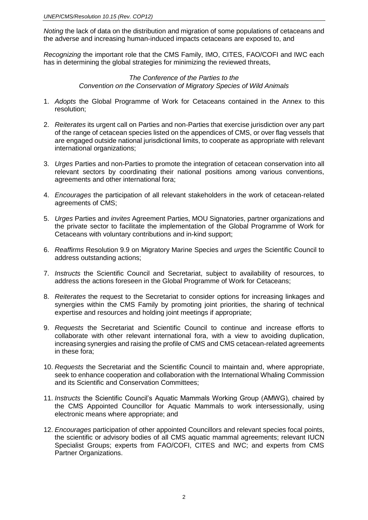*Noting* the lack of data on the distribution and migration of some populations of cetaceans and the adverse and increasing human-induced impacts cetaceans are exposed to, and

*Recognizing* the important role that the CMS Family, IMO, CITES, FAO/COFI and IWC each has in determining the global strategies for minimizing the reviewed threats,

> *The Conference of the Parties to the Convention on the Conservation of Migratory Species of Wild Animals*

- 1. *Adopts* the Global Programme of Work for Cetaceans contained in the Annex to this resolution;
- 2. *Reiterates* its urgent call on Parties and non-Parties that exercise jurisdiction over any part of the range of cetacean species listed on the appendices of CMS, or over flag vessels that are engaged outside national jurisdictional limits, to cooperate as appropriate with relevant international organizations;
- 3. *Urges* Parties and non-Parties to promote the integration of cetacean conservation into all relevant sectors by coordinating their national positions among various conventions, agreements and other international fora;
- 4. *Encourages* the participation of all relevant stakeholders in the work of cetacean-related agreements of CMS;
- 5. *Urges* Parties and *invites* Agreement Parties, MOU Signatories, partner organizations and the private sector to facilitate the implementation of the Global Programme of Work for Cetaceans with voluntary contributions and in-kind support;
- 6. *Reaffirms* Resolution 9.9 on Migratory Marine Species and *urges* the Scientific Council to address outstanding actions;
- 7. *Instructs* the Scientific Council and Secretariat, subject to availability of resources, to address the actions foreseen in the Global Programme of Work for Cetaceans;
- 8. *Reiterates* the request to the Secretariat to consider options for increasing linkages and synergies within the CMS Family by promoting joint priorities, the sharing of technical expertise and resources and holding joint meetings if appropriate;
- 9. *Requests* the Secretariat and Scientific Council to continue and increase efforts to collaborate with other relevant international fora, with a view to avoiding duplication, increasing synergies and raising the profile of CMS and CMS cetacean-related agreements in these fora;
- 10. *Requests* the Secretariat and the Scientific Council to maintain and, where appropriate, seek to enhance cooperation and collaboration with the International Whaling Commission and its Scientific and Conservation Committees;
- 11. *Instructs* the Scientific Council's Aquatic Mammals Working Group (AMWG), chaired by the CMS Appointed Councillor for Aquatic Mammals to work intersessionally, using electronic means where appropriate; and
- 12. *Encourages* participation of other appointed Councillors and relevant species focal points, the scientific or advisory bodies of all CMS aquatic mammal agreements; relevant IUCN Specialist Groups; experts from FAO/COFI, CITES and IWC; and experts from CMS Partner Organizations.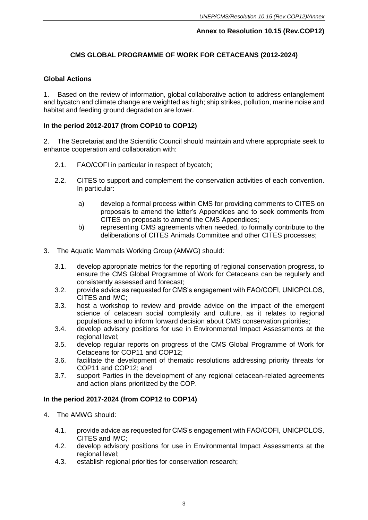# **Annex to Resolution 10.15 (Rev.COP12)**

# **CMS GLOBAL PROGRAMME OF WORK FOR CETACEANS (2012-2024)**

### **Global Actions**

1. Based on the review of information, global collaborative action to address entanglement and bycatch and climate change are weighted as high; ship strikes, pollution, marine noise and habitat and feeding ground degradation are lower.

# **In the period 2012-2017 (from COP10 to COP12)**

2. The Secretariat and the Scientific Council should maintain and where appropriate seek to enhance cooperation and collaboration with:

- 2.1. FAO/COFI in particular in respect of bycatch;
- 2.2. CITES to support and complement the conservation activities of each convention. In particular:
	- a) develop a formal process within CMS for providing comments to CITES on proposals to amend the latter's Appendices and to seek comments from CITES on proposals to amend the CMS Appendices;
	- b) representing CMS agreements when needed, to formally contribute to the deliberations of CITES Animals Committee and other CITES processes;
- 3. The Aquatic Mammals Working Group (AMWG) should:
	- 3.1. develop appropriate metrics for the reporting of regional conservation progress, to ensure the CMS Global Programme of Work for Cetaceans can be regularly and consistently assessed and forecast;
	- 3.2. provide advice as requested for CMS's engagement with FAO/COFI, UNICPOLOS, CITES and IWC;
	- 3.3. host a workshop to review and provide advice on the impact of the emergent science of cetacean social complexity and culture, as it relates to regional populations and to inform forward decision about CMS conservation priorities;
	- 3.4. develop advisory positions for use in Environmental Impact Assessments at the regional level;
	- 3.5. develop regular reports on progress of the CMS Global Programme of Work for Cetaceans for COP11 and COP12;
	- 3.6. facilitate the development of thematic resolutions addressing priority threats for COP11 and COP12; and
	- 3.7. support Parties in the development of any regional cetacean-related agreements and action plans prioritized by the COP.

### **In the period 2017-2024 (from COP12 to COP14)**

- 4. The AMWG should:
	- 4.1. provide advice as requested for CMS's engagement with FAO/COFI, UNICPOLOS, CITES and IWC;
	- 4.2. develop advisory positions for use in Environmental Impact Assessments at the regional level;
	- 4.3. establish regional priorities for conservation research;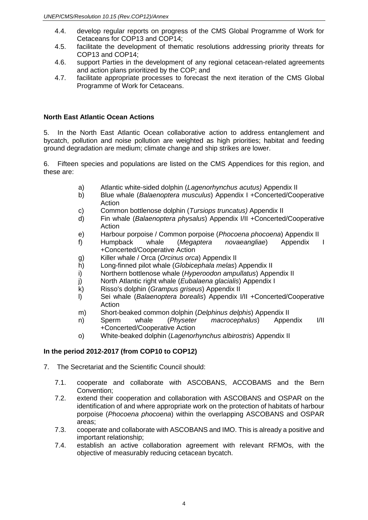- 4.4. develop regular reports on progress of the CMS Global Programme of Work for Cetaceans for COP13 and COP14;
- 4.5. facilitate the development of thematic resolutions addressing priority threats for COP13 and COP14;
- 4.6. support Parties in the development of any regional cetacean-related agreements and action plans prioritized by the COP; and
- 4.7. facilitate appropriate processes to forecast the next iteration of the CMS Global Programme of Work for Cetaceans.

### **North East Atlantic Ocean Actions**

5. In the North East Atlantic Ocean collaborative action to address entanglement and bycatch, pollution and noise pollution are weighted as high priorities; habitat and feeding ground degradation are medium; climate change and ship strikes are lower.

6. Fifteen species and populations are listed on the CMS Appendices for this region, and these are:

- a) Atlantic white-sided dolphin (*Lagenorhynchus acutus)* Appendix II
- b) Blue whale (*Balaenoptera musculus*) Appendix I +Concerted/Cooperative Action
- c) Common bottlenose dolphin (*Tursiops truncatus)* Appendix II
- d) Fin whale (*Balaenoptera physalus*) Appendix I/II +Concerted/Cooperative Action
- e) Harbour porpoise / Common porpoise (*Phocoena phocoena*) Appendix II
- f) Humpback whale (*Megaptera novaeangliae*) Appendix I +Concerted/Cooperative Action
- g) Killer whale / Orca (*Orcinus orca*) Appendix II
- h) Long-finned pilot whale (*Globicephala melas*) Appendix II
- i) Northern bottlenose whale (*Hyperoodon ampullatus*) Appendix II
- j) North Atlantic right whale (*Eubalaena glacialis*) Appendix I
- k) Risso's dolphin (*Grampus griseus*) Appendix II
- l) Sei whale (*Balaenoptera borealis*) Appendix I/II +Concerted/Cooperative Action
- m) Short-beaked common dolphin (*Delphinus delphis*) Appendix II
- n) Sperm whale (*Physeter macrocephalus*) Appendix I/II +Concerted/Cooperative Action
- o) White-beaked dolphin (*Lagenorhynchus albirostris*) Appendix II

# **In the period 2012-2017 (from COP10 to COP12)**

- 7. The Secretariat and the Scientific Council should:
	- 7.1. cooperate and collaborate with ASCOBANS, ACCOBAMS and the Bern Convention;
	- 7.2. extend their cooperation and collaboration with ASCOBANS and OSPAR on the identification of and where appropriate work on the protection of habitats of harbour porpoise (*Phocoena phocoena*) within the overlapping ASCOBANS and OSPAR areas;
	- 7.3. cooperate and collaborate with ASCOBANS and IMO. This is already a positive and important relationship;
	- 7.4. establish an active collaboration agreement with relevant RFMOs, with the objective of measurably reducing cetacean bycatch.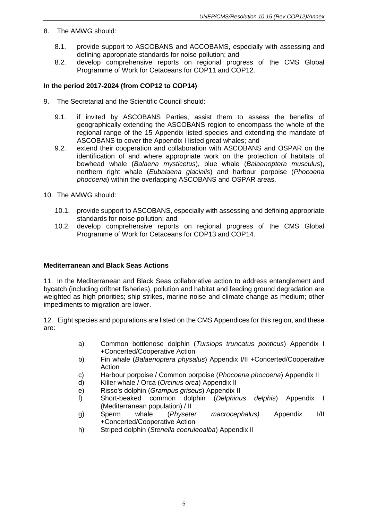- 8. The AMWG should:
	- 8.1. provide support to ASCOBANS and ACCOBAMS, especially with assessing and defining appropriate standards for noise pollution; and
	- 8.2. develop comprehensive reports on regional progress of the CMS Global Programme of Work for Cetaceans for COP11 and COP12.

# **In the period 2017-2024 (from COP12 to COP14)**

- 9. The Secretariat and the Scientific Council should:
	- 9.1. if invited by ASCOBANS Parties, assist them to assess the benefits of geographically extending the ASCOBANS region to encompass the whole of the regional range of the 15 Appendix listed species and extending the mandate of ASCOBANS to cover the Appendix I listed great whales; and
	- 9.2. extend their cooperation and collaboration with ASCOBANS and OSPAR on the identification of and where appropriate work on the protection of habitats of bowhead whale (*Balaena mysticetus*), blue whale (*Balaenoptera musculus*), northern right whale (*Eubalaena glacialis*) and harbour porpoise (*Phocoena phocoena*) within the overlapping ASCOBANS and OSPAR areas.
- 10. The AMWG should:
	- 10.1. provide support to ASCOBANS, especially with assessing and defining appropriate standards for noise pollution; and
	- 10.2. develop comprehensive reports on regional progress of the CMS Global Programme of Work for Cetaceans for COP13 and COP14.

### **Mediterranean and Black Seas Actions**

11. In the Mediterranean and Black Seas collaborative action to address entanglement and bycatch (including driftnet fisheries), pollution and habitat and feeding ground degradation are weighted as high priorities; ship strikes, marine noise and climate change as medium; other impediments to migration are lower.

12. Eight species and populations are listed on the CMS Appendices for this region, and these are:

- a) Common bottlenose dolphin (*Tursiops truncatus ponticus*) Appendix I +Concerted/Cooperative Action
- b) Fin whale (*Balaenoptera physalus*) Appendix I/II +Concerted/Cooperative Action
- c) Harbour porpoise / Common porpoise (*Phocoena phocoena*) Appendix II
- d) Killer whale / Orca (*Orcinus orca*) Appendix II
- e) Risso's dolphin (*Grampus griseus*) Appendix II
- f) Short-beaked common dolphin (*Delphinus delphis*) Appendix I (Mediterranean population) / II
- g) Sperm whale (*Physeter macrocephalus)* Appendi*x* I/II +Concerted/Cooperative Action
- h) Striped dolphin (*Stenella coeruleoalba*) Appendix II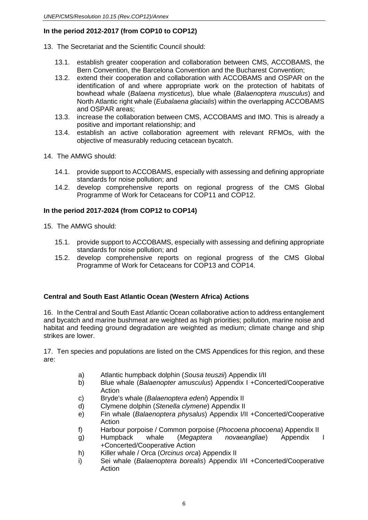- 13. The Secretariat and the Scientific Council should:
	- 13.1. establish greater cooperation and collaboration between CMS, ACCOBAMS, the Bern Convention, the Barcelona Convention and the Bucharest Convention;
	- 13.2. extend their cooperation and collaboration with ACCOBAMS and OSPAR on the identification of and where appropriate work on the protection of habitats of bowhead whale (*Balaena mysticetus*), blue whale (*Balaenoptera musculus*) and North Atlantic right whale (*Eubalaena glacialis*) within the overlapping ACCOBAMS and OSPAR areas;
	- 13.3. increase the collaboration between CMS, ACCOBAMS and IMO. This is already a positive and important relationship; and
	- 13.4. establish an active collaboration agreement with relevant RFMOs, with the objective of measurably reducing cetacean bycatch.
- 14. The AMWG should:
	- 14.1. provide support to ACCOBAMS, especially with assessing and defining appropriate standards for noise pollution; and
	- 14.2. develop comprehensive reports on regional progress of the CMS Global Programme of Work for Cetaceans for COP11 and COP12.

# **In the period 2017-2024 (from COP12 to COP14)**

- 15. The AMWG should:
	- 15.1. provide support to ACCOBAMS, especially with assessing and defining appropriate standards for noise pollution; and
	- 15.2. develop comprehensive reports on regional progress of the CMS Global Programme of Work for Cetaceans for COP13 and COP14.

# **Central and South East Atlantic Ocean (Western Africa) Actions**

16. In the Central and South East Atlantic Ocean collaborative action to address entanglement and bycatch and marine bushmeat are weighted as high priorities; pollution, marine noise and habitat and feeding ground degradation are weighted as medium; climate change and ship strikes are lower.

17. Ten species and populations are listed on the CMS Appendices for this region, and these are:

- a) Atlantic humpback dolphin (*Sousa teuszii*) Appendix I/II
- b) Blue whale (*Balaenopter amusculus*) Appendix I +Concerted/Cooperative **Action**
- c) Bryde's whale (*Balaenoptera edeni*) Appendix II
- d) Clymene dolphin (*Stenella clymene*) Appendix II
- e) Fin whale (*Balaenoptera physalus*) Appendix I/II +Concerted/Cooperative **Action**
- f) Harbour porpoise / Common porpoise (*Phocoena phocoena*) Appendix II
- g) Humpback whale (*Megaptera novaeangliae*) Appendix I +Concerted/Cooperative Action
- h) Killer whale / Orca (*Orcinus orca*) Appendix II
- i) Sei whale (*Balaenoptera borealis*) Appendix I/II +Concerted/Cooperative Action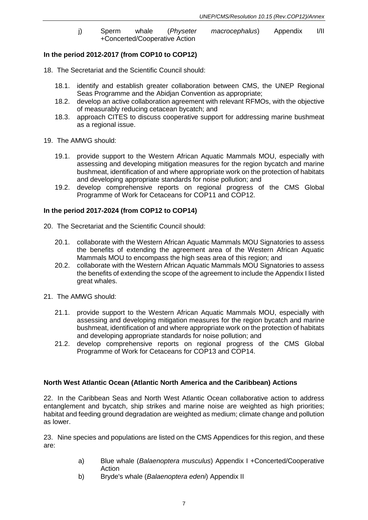j) Sperm whale (*Physeter macrocephalus*) Appendix I/II +Concerted/Cooperative Action

### **In the period 2012-2017 (from COP10 to COP12)**

- 18. The Secretariat and the Scientific Council should:
	- 18.1. identify and establish greater collaboration between CMS, the UNEP Regional Seas Programme and the Abidjan Convention as appropriate;
	- 18.2. develop an active collaboration agreement with relevant RFMOs, with the objective of measurably reducing cetacean bycatch; and
	- 18.3. approach CITES to discuss cooperative support for addressing marine bushmeat as a regional issue.
- 19. The AMWG should:
	- 19.1. provide support to the Western African Aquatic Mammals MOU, especially with assessing and developing mitigation measures for the region bycatch and marine bushmeat, identification of and where appropriate work on the protection of habitats and developing appropriate standards for noise pollution; and
	- 19.2. develop comprehensive reports on regional progress of the CMS Global Programme of Work for Cetaceans for COP11 and COP12.

#### **In the period 2017-2024 (from COP12 to COP14)**

- 20. The Secretariat and the Scientific Council should:
	- 20.1. collaborate with the Western African Aquatic Mammals MOU Signatories to assess the benefits of extending the agreement area of the Western African Aquatic Mammals MOU to encompass the high seas area of this region; and
	- 20.2. collaborate with the Western African Aquatic Mammals MOU Signatories to assess the benefits of extending the scope of the agreement to include the Appendix I listed great whales.
- 21. The AMWG should:
	- 21.1. provide support to the Western African Aquatic Mammals MOU, especially with assessing and developing mitigation measures for the region bycatch and marine bushmeat, identification of and where appropriate work on the protection of habitats and developing appropriate standards for noise pollution; and
	- 21.2. develop comprehensive reports on regional progress of the CMS Global Programme of Work for Cetaceans for COP13 and COP14.

#### **North West Atlantic Ocean (Atlantic North America and the Caribbean) Actions**

22. In the Caribbean Seas and North West Atlantic Ocean collaborative action to address entanglement and bycatch, ship strikes and marine noise are weighted as high priorities; habitat and feeding ground degradation are weighted as medium; climate change and pollution as lower.

23. Nine species and populations are listed on the CMS Appendices for this region, and these are:

- a) Blue whale (*Balaenoptera musculus*) Appendix I +Concerted/Cooperative Action
- b) Bryde's whale (*Balaenoptera edeni*) Appendix II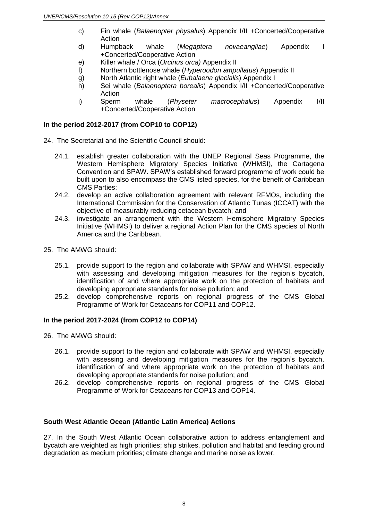- c) Fin whale (*Balaenopter physalus*) Appendix I/II +Concerted/Cooperative Action
- d) Humpback whale (*Megaptera novaeangliae*) Appendix I +Concerted/Cooperative Action
- e) Killer whale / Orca (*Orcinus orca)* Appendix II
- f) Northern bottlenose whale (*Hyperoodon ampullatus*) Appendix II
- g) North Atlantic right whale (*Eubalaena glacialis*) Appendix I
- h) Sei whale (*Balaenoptera borealis*) Appendix I/II +Concerted/Cooperative Action
- i) Sperm whale (*Physeter macrocephalus*) Appendix I/II +Concerted/Cooperative Action

- 24. The Secretariat and the Scientific Council should:
	- 24.1. establish greater collaboration with the UNEP Regional Seas Programme, the Western Hemisphere Migratory Species Initiative (WHMSI), the Cartagena Convention and SPAW. SPAW's established forward programme of work could be built upon to also encompass the CMS listed species, for the benefit of Caribbean CMS Parties;
	- 24.2. develop an active collaboration agreement with relevant RFMOs, including the International Commission for the Conservation of Atlantic Tunas (ICCAT) with the objective of measurably reducing cetacean bycatch; and
	- 24.3. investigate an arrangement with the Western Hemisphere Migratory Species Initiative (WHMSI) to deliver a regional Action Plan for the CMS species of North America and the Caribbean.
- 25. The AMWG should:
	- 25.1. provide support to the region and collaborate with SPAW and WHMSI, especially with assessing and developing mitigation measures for the region's bycatch, identification of and where appropriate work on the protection of habitats and developing appropriate standards for noise pollution; and
	- 25.2. develop comprehensive reports on regional progress of the CMS Global Programme of Work for Cetaceans for COP11 and COP12.

### **In the period 2017-2024 (from COP12 to COP14)**

- 26. The AMWG should:
	- 26.1. provide support to the region and collaborate with SPAW and WHMSI, especially with assessing and developing mitigation measures for the region's bycatch, identification of and where appropriate work on the protection of habitats and developing appropriate standards for noise pollution; and
	- 26.2. develop comprehensive reports on regional progress of the CMS Global Programme of Work for Cetaceans for COP13 and COP14.

### **South West Atlantic Ocean (Atlantic Latin America) Actions**

27. In the South West Atlantic Ocean collaborative action to address entanglement and bycatch are weighted as high priorities; ship strikes, pollution and habitat and feeding ground degradation as medium priorities; climate change and marine noise as lower.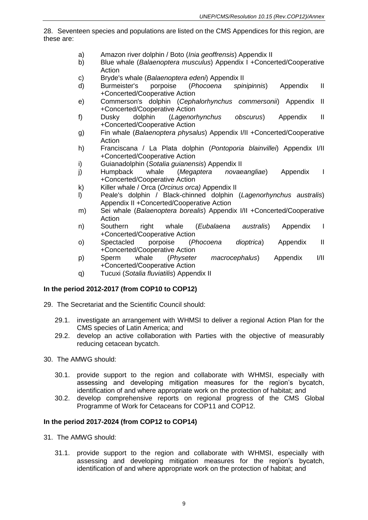28. Seventeen species and populations are listed on the CMS Appendices for this region, are these are:

- a) Amazon river dolphin / Boto (*Inia geoffrensis*) Appendix II
- b) Blue whale (*Balaenoptera musculus*) Appendix I +Concerted/Cooperative Action
- c) Bryde's whale (*Balaenoptera edeni*) Appendix II
- d) Burmeister's porpoise (*Phocoena spinipinnis*) Appendix II +Concerted/Cooperative Action
- e) Commerson's dolphin (*Cephalorhynchus commersonii*) Appendix II +Concerted/Cooperative Action
- f) Dusky dolphin (*Lagenorhynchus obscurus*) Appendix II +Concerted/Cooperative Action
- g) Fin whale (*Balaenoptera physalus*) Appendix I/II +Concerted/Cooperative Action
- h) Franciscana / La Plata dolphin (*Pontoporia blainvillei*) Appendix I/II +Concerted/Cooperative Action
- i) Guianadolphin (*Sotalia guianensis*) Appendix II
- j) Humpback whale (*Megaptera novaeangliae*) Appendix I +Concerted/Cooperative Action
- k) Killer whale / Orca (*Orcinus orca)* Appendix II
- l) Peale's dolphin / Black-chinned dolphin (*Lagenorhynchus australis*) Appendix II +Concerted/Cooperative Action
- m) Sei whale (*Balaenoptera borealis*) Appendix I/II +Concerted/Cooperative Action<br>Southern
- n) Southern right whale (*Eubalaena australis*) Appendix I +Concerted/Cooperative Action
- o) Spectacled porpoise (*Phocoena dioptrica*) Appendix II +Concerted/Cooperative Action
- p) Sperm whale (*Physeter macrocephalus*) Appendix I/II +Concerted/Cooperative Action
- q) Tucuxi (*Sotalia fluviatilis*) Appendix II

# **In the period 2012-2017 (from COP10 to COP12)**

- 29. The Secretariat and the Scientific Council should:
	- 29.1. investigate an arrangement with WHMSI to deliver a regional Action Plan for the CMS species of Latin America; and
	- 29.2. develop an active collaboration with Parties with the objective of measurably reducing cetacean bycatch.
- 30. The AMWG should:
	- 30.1. provide support to the region and collaborate with WHMSI, especially with assessing and developing mitigation measures for the region's bycatch, identification of and where appropriate work on the protection of habitat; and
	- 30.2. develop comprehensive reports on regional progress of the CMS Global Programme of Work for Cetaceans for COP11 and COP12.

# **In the period 2017-2024 (from COP12 to COP14)**

- 31. The AMWG should:
	- 31.1. provide support to the region and collaborate with WHMSI, especially with assessing and developing mitigation measures for the region's bycatch, identification of and where appropriate work on the protection of habitat; and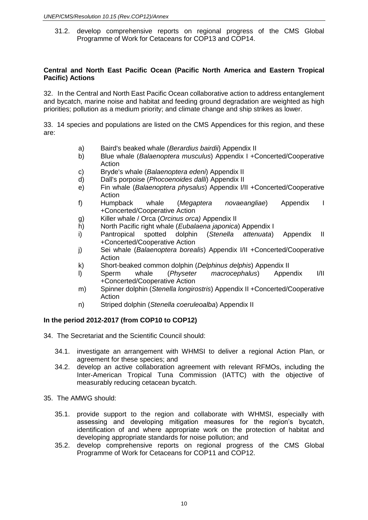31.2. develop comprehensive reports on regional progress of the CMS Global Programme of Work for Cetaceans for COP13 and COP14.

#### **Central and North East Pacific Ocean (Pacific North America and Eastern Tropical Pacific) Actions**

32. In the Central and North East Pacific Ocean collaborative action to address entanglement and bycatch, marine noise and habitat and feeding ground degradation are weighted as high priorities; pollution as a medium priority; and climate change and ship strikes as lower.

33. 14 species and populations are listed on the CMS Appendices for this region, and these are:

- a) Baird's beaked whale (*Berardius bairdii*) Appendix II
- b) Blue whale (*Balaenoptera musculus*) Appendix I +Concerted/Cooperative Action
- c) Bryde's whale (*Balaenoptera edeni*) Appendix II
- d) Dall's porpoise (*Phocoenoides dalli*) Appendix II
- e) Fin whale (*Balaenoptera physalus*) Appendix I/II +Concerted/Cooperative Action
- f) Humpback whale (*Megaptera novaeangliae*) Appendix I +Concerted/Cooperative Action
- g) Killer whale / Orca (*Orcinus orca)* Appendix II
- h) North Pacific right whale (*Eubalaena japonica*) Appendix I
- i) Pantropical spotted dolphin (*Stenella attenuata*) Appendix II +Concerted/Cooperative Action
- j) Sei whale (*Balaenoptera borealis*) Appendix I/II +Concerted/Cooperative Action
- k) Short-beaked common dolphin (*Delphinus delphis*) Appendix II
- l) Sperm whale (*Physeter macrocephalus*) Appendix I/II +Concerted/Cooperative Action
- m) Spinner dolphin (*Stenella longirostris*) Appendix II +Concerted/Cooperative Action
- n) Striped dolphin (*Stenella coeruleoalba*) Appendix II

### **In the period 2012-2017 (from COP10 to COP12)**

- 34. The Secretariat and the Scientific Council should:
	- 34.1. investigate an arrangement with WHMSI to deliver a regional Action Plan, or agreement for these species; and
	- 34.2. develop an active collaboration agreement with relevant RFMOs, including the Inter-American Tropical Tuna Commission (IATTC) with the objective of measurably reducing cetacean bycatch.
- 35. The AMWG should:
	- 35.1. provide support to the region and collaborate with WHMSI, especially with assessing and developing mitigation measures for the region's bycatch, identification of and where appropriate work on the protection of habitat and developing appropriate standards for noise pollution; and
	- 35.2. develop comprehensive reports on regional progress of the CMS Global Programme of Work for Cetaceans for COP11 and COP12.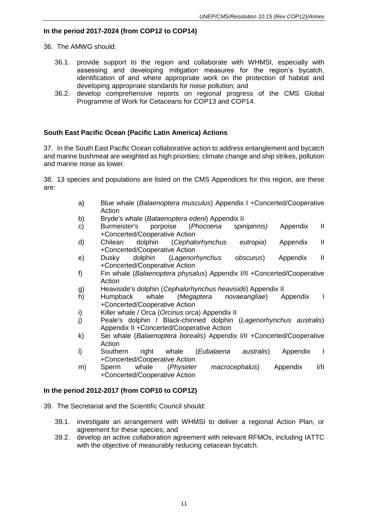# **In the period 2017-2024 (from COP12 to COP14)**

36. The AMWG should:

- 36.1. provide support to the region and collaborate with WHMSI, especially with assessing and developing mitigation measures for the region's bycatch, identification of and where appropriate work on the protection of habitat and developing appropriate standards for noise pollution; and
- 36.2. develop comprehensive reports on regional progress of the CMS Global Programme of Work for Cetaceans for COP13 and COP14.

### **South East Pacific Ocean (Pacific Latin America) Actions**

37. In the South East Pacific Ocean collaborative action to address entanglement and bycatch and marine bushmeat are weighted as high priorities; climate change and ship strikes, pollution and marine noise as lower.

38. 13 species and populations are listed on the CMS Appendices for this region, are these are:

- a) Blue whale (*Balaenoptera musculus*) Appendix I +Concerted/Cooperative Action
- 
- b) Bryde's whale (*Balaenoptera edeni*) Appendix II c) Burmeister's porpoise (*Phocoena spinipinnis)* Appendix II +Concerted/Cooperative Action
- d) Chilean dolphin (*Cephalorhynchus eutropia*) Appendix II +Concerted/Cooperative Action
- e) Dusky dolphin (*Lagenorhynchus obscurus*) Appendix II +Concerted/Cooperative Action
- f) Fin whale (*Balaenoptera physalus*) Appendix I/II +Concerted/Cooperative Action
- g) Heaviside's dolphin (*Cephalorhynchus heavisidii*) Appendix II
- h) Humpback whale (*Megaptera novaeangliae*) Appendix I +Concerted/Cooperative Action
- i) Killer whale / Orca (*Orcinus orca*) Appendix II
- j) Peale's dolphin / Black-chinned dolphin (*Lagenorhynchus australis*) Appendix II +Concerted/Cooperative Action
- k) Sei whale (*Balaenoptera borealis*) Appendix I/II +Concerted/Cooperative Action
- l) Southern right whale (*Eubalaena australis*) Appendix I +Concerted/Cooperative Action
- m) Sperm whale (*Physeter macrocephalus*) Appendix I/II +Concerted/Cooperative Action

### **In the period 2012-2017 (from COP10 to COP12)**

- 39. The Secretariat and the Scientific Council should:
	- 39.1. investigate an arrangement with WHMSI to deliver a regional Action Plan, or agreement for these species; and
	- 39.2. develop an active collaboration agreement with relevant RFMOs, including IATTC with the objective of measurably reducing cetacean bycatch.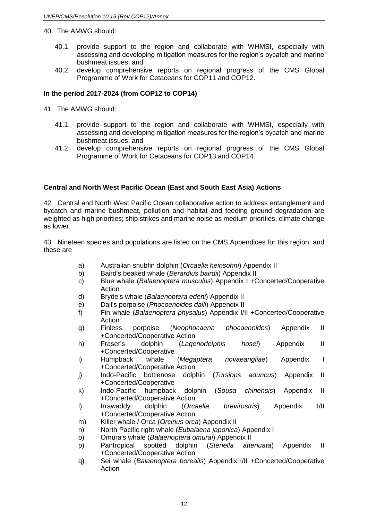#### 40. The AMWG should:

- 40.1. provide support to the region and collaborate with WHMSI, especially with assessing and developing mitigation measures for the region's bycatch and marine bushmeat issues; and
- 40.2. develop comprehensive reports on regional progress of the CMS Global Programme of Work for Cetaceans for COP11 and COP12.

# **In the period 2017-2024 (from COP12 to COP14)**

- 41. The AMWG should:
	- 41.1. provide support to the region and collaborate with WHMSI, especially with assessing and developing mitigation measures for the region's bycatch and marine bushmeat issues; and
	- 41.2. develop comprehensive reports on regional progress of the CMS Global Programme of Work for Cetaceans for COP13 and COP14.

### **Central and North West Pacific Ocean (East and South East Asia) Actions**

42. Central and North West Pacific Ocean collaborative action to address entanglement and bycatch and marine bushmeat, pollution and habitat and feeding ground degradation are weighted as high priorities; ship strikes and marine noise as medium priorities; climate change as lower.

43. Nineteen species and populations are listed on the CMS Appendices for this region, and these are

- a) Australian snubfin dolphin (*Orcaella heinsohni*) Appendix II
- b) Baird's beaked whale (*Berardius bairdii*) Appendix II
- c) Blue whale (*Balaenoptera musculus*) Appendix I +Concerted/Cooperative Action
- d) Bryde's whale (*Balaenoptera edeni*) Appendix II
- e) Dall's porpoise (*Phocoenoides dalli*) Appendix II
- f) Fin whale (*Balaenoptera physalus*) Appendix I/II +Concerted/Cooperative Action
- g) Finless porpoise (*Neophocaena phocaenoides*) Appendix II +Concerted/Cooperative Action
- h) Fraser's dolphin (*Lagenodelphis hosei*) Appendix II +Concerted/Cooperative
- i) Humpback whale (*Megaptera novaeangliae*) Appendix I +Concerted/Cooperative Action
- j) Indo-Pacific bottlenose dolphin (*Tursiops aduncus*) Appendix II +Concerted/Cooperative
- k) Indo-Pacific humpback dolphin (*Sousa chinensis*) Appendix II +Concerted/Cooperative Action
- l) Irrawaddy dolphin (*Orcaella brevirostris*) Appendix I/II +Concerted/Cooperative Action
- m) Killer whale / Orca (*Orcinus orca*) Appendix II
- n) North Pacific right whale (*Eubalaena japonica*) Appendix I
- o) Omura's whale (*Balaenoptera omurai*) Appendix II
- p) Pantropical spotted dolphin (*Stenella attenuata*) Appendix II +Concerted/Cooperative Action
- q) Sei whale (*Balaenoptera borealis*) Appendix I/II +Concerted/Cooperative Action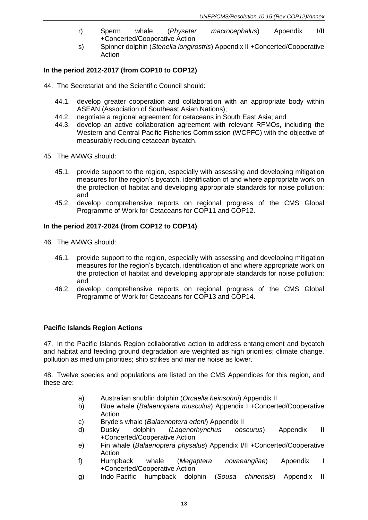- r) Sperm whale (*Physeter macrocephalus*) Appendix I/II +Concerted/Cooperative Action
- s) Spinner dolphin (*Stenella longirostris*) Appendix II +Concerted/Cooperative Action

- 44. The Secretariat and the Scientific Council should:
	- 44.1. develop greater cooperation and collaboration with an appropriate body within ASEAN (Association of Southeast Asian Nations);
	- 44.2. negotiate a regional agreement for cetaceans in South East Asia; and
	- 44.3. develop an active collaboration agreement with relevant RFMOs, including the Western and Central Pacific Fisheries Commission (WCPFC) with the objective of measurably reducing cetacean bycatch.
- 45. The AMWG should:
	- 45.1. provide support to the region, especially with assessing and developing mitigation measures for the region's bycatch, identification of and where appropriate work on the protection of habitat and developing appropriate standards for noise pollution; and
	- 45.2. develop comprehensive reports on regional progress of the CMS Global Programme of Work for Cetaceans for COP11 and COP12.

### **In the period 2017-2024 (from COP12 to COP14)**

- 46. The AMWG should:
	- 46.1. provide support to the region, especially with assessing and developing mitigation measures for the region's bycatch, identification of and where appropriate work on the protection of habitat and developing appropriate standards for noise pollution; and
	- 46.2. develop comprehensive reports on regional progress of the CMS Global Programme of Work for Cetaceans for COP13 and COP14.

### **Pacific Islands Region Actions**

47. In the Pacific Islands Region collaborative action to address entanglement and bycatch and habitat and feeding ground degradation are weighted as high priorities; climate change, pollution as medium priorities; ship strikes and marine noise as lower.

48. Twelve species and populations are listed on the CMS Appendices for this region, and these are:

- a) Australian snubfin dolphin (*Orcaella heinsohni*) Appendix II
- b) Blue whale (*Balaenoptera musculus*) Appendix I +Concerted/Cooperative Action
- c) Bryde's whale (*Balaenoptera edeni*) Appendix II
- d) Dusky dolphin (*Lagenorhynchus obscurus*) Appendix II +Concerted/Cooperative Action
- e) Fin whale (*Balaenoptera physalus*) Appendix I/II +Concerted/Cooperative Action
- f) Humpback whale (*Megaptera novaeangliae*) Appendix I +Concerted/Cooperative Action
- g) Indo-Pacific humpback dolphin (*Sousa chinensis*) Appendix II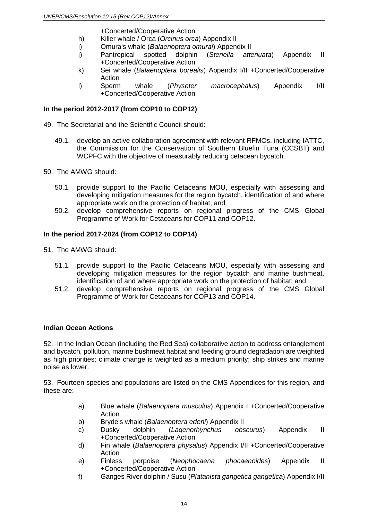+Concerted/Cooperative Action

- h) Killer whale / Orca (*Orcinus orca*) Appendix II
- i) Omura's whale (*Balaenoptera omurai*) Appendix II
- j) Pantropical spotted dolphin (*Stenella attenuata*) Appendix II +Concerted/Cooperative Action
- k) Sei whale (*Balaenoptera borealis*) Appendix I/II +Concerted/Cooperative Action
- l) Sperm whale (*Physeter macrocephalus*) Appendix I/II +Concerted/Cooperative Action

# **In the period 2012-2017 (from COP10 to COP12)**

49. The Secretariat and the Scientific Council should:

- 49.1. develop an active collaboration agreement with relevant RFMOs, including IATTC, the Commission for the Conservation of Southern Bluefin Tuna (CCSBT) and WCPFC with the objective of measurably reducing cetacean bycatch.
- 50. The AMWG should:
	- 50.1. provide support to the Pacific Cetaceans MOU, especially with assessing and developing mitigation measures for the region bycatch, identification of and where appropriate work on the protection of habitat; and
	- 50.2. develop comprehensive reports on regional progress of the CMS Global Programme of Work for Cetaceans for COP11 and COP12.

# **In the period 2017-2024 (from COP12 to COP14)**

- 51. The AMWG should:
	- 51.1. provide support to the Pacific Cetaceans MOU, especially with assessing and developing mitigation measures for the region bycatch and marine bushmeat, identification of and where appropriate work on the protection of habitat; and
	- 51.2. develop comprehensive reports on regional progress of the CMS Global Programme of Work for Cetaceans for COP13 and COP14.

### **Indian Ocean Actions**

52. In the Indian Ocean (including the Red Sea) collaborative action to address entanglement and bycatch, pollution, marine bushmeat habitat and feeding ground degradation are weighted as high priorities; climate change is weighted as a medium priority; ship strikes and marine noise as lower.

53. Fourteen species and populations are listed on the CMS Appendices for this region, and these are:

- a) Blue whale (*Balaenoptera musculus*) Appendix I +Concerted/Cooperative Action
- b) Bryde's whale (*Balaenoptera edeni*) Appendix II
- c) Dusky dolphin (*Lagenorhynchus obscurus*) Appendix II +Concerted/Cooperative Action
- d) Fin whale (*Balaenoptera physalus*) Appendix I/II +Concerted/Cooperative Action
- e) Finless porpoise (*Neophocaena phocaenoides*) Appendix II +Concerted/Cooperative Action
- f) Ganges River dolphin / Susu (*Platanista gangetica gangetica*) Appendix I/II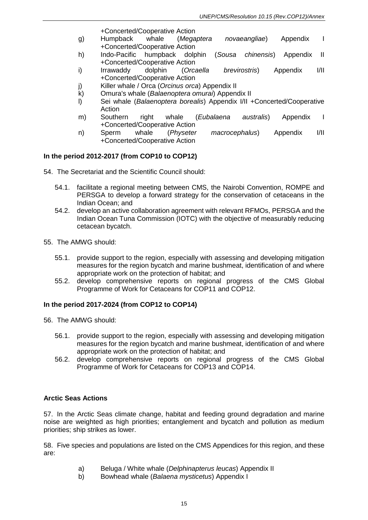+Concerted/Cooperative Action

- g) Humpback whale (*Megaptera novaeangliae*) Appendix I +Concerted/Cooperative Action
- h) Indo-Pacific humpback dolphin (*Sousa chinensis*) Appendix II +Concerted/Cooperative Action
- i) Irrawaddy dolphin (*Orcaella brevirostris*) Appendix I/II +Concerted/Cooperative Action
- j) Killer whale / Orca (*Orcinus orca*) Appendix II
- k) Omura's whale (*Balaenoptera omurai*) Appendix II
- l) Sei whale (*Balaenoptera borealis*) Appendix I/II +Concerted/Cooperative Action
- m) Southern right whale (*Eubalaena australis*) Appendix I +Concerted/Cooperative Action
- n) Sperm whale (*Physeter macrocephalus*) Appendix I/II +Concerted/Cooperative Action

# **In the period 2012-2017 (from COP10 to COP12)**

- 54. The Secretariat and the Scientific Council should:
	- 54.1. facilitate a regional meeting between CMS, the Nairobi Convention, ROMPE and PERSGA to develop a forward strategy for the conservation of cetaceans in the Indian Ocean; and
	- 54.2. develop an active collaboration agreement with relevant RFMOs, PERSGA and the Indian Ocean Tuna Commission (IOTC) with the objective of measurably reducing cetacean bycatch.
- 55. The AMWG should:
	- 55.1. provide support to the region, especially with assessing and developing mitigation measures for the region bycatch and marine bushmeat, identification of and where appropriate work on the protection of habitat; and
	- 55.2. develop comprehensive reports on regional progress of the CMS Global Programme of Work for Cetaceans for COP11 and COP12.

### **In the period 2017-2024 (from COP12 to COP14)**

- 56. The AMWG should:
	- 56.1. provide support to the region, especially with assessing and developing mitigation measures for the region bycatch and marine bushmeat, identification of and where appropriate work on the protection of habitat; and
	- 56.2. develop comprehensive reports on regional progress of the CMS Global Programme of Work for Cetaceans for COP13 and COP14.

### **Arctic Seas Actions**

57. In the Arctic Seas climate change, habitat and feeding ground degradation and marine noise are weighted as high priorities; entanglement and bycatch and pollution as medium priorities; ship strikes as lower.

58. Five species and populations are listed on the CMS Appendices for this region, and these are:

- a) Beluga / White whale (*Delphinapterus leucas*) Appendix II
- b) Bowhead whale (*Balaena mysticetus*) Appendix I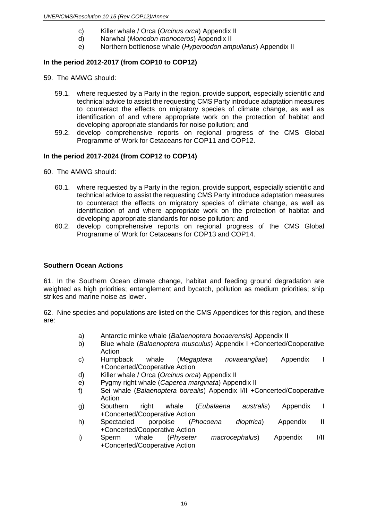- c) Killer whale / Orca (*Orcinus orca*) Appendix II
- d) Narwhal (*Monodon monoceros*) Appendix II
- e) Northern bottlenose whale (*Hyperoodon ampullatus*) Appendix II

- 59. The AMWG should:
	- 59.1. where requested by a Party in the region, provide support, especially scientific and technical advice to assist the requesting CMS Party introduce adaptation measures to counteract the effects on migratory species of climate change, as well as identification of and where appropriate work on the protection of habitat and developing appropriate standards for noise pollution; and
	- 59.2. develop comprehensive reports on regional progress of the CMS Global Programme of Work for Cetaceans for COP11 and COP12.

### **In the period 2017-2024 (from COP12 to COP14)**

- 60. The AMWG should:
	- 60.1. where requested by a Party in the region, provide support, especially scientific and technical advice to assist the requesting CMS Party introduce adaptation measures to counteract the effects on migratory species of climate change, as well as identification of and where appropriate work on the protection of habitat and developing appropriate standards for noise pollution; and
	- 60.2. develop comprehensive reports on regional progress of the CMS Global Programme of Work for Cetaceans for COP13 and COP14.

#### **Southern Ocean Actions**

61. In the Southern Ocean climate change, habitat and feeding ground degradation are weighted as high priorities; entanglement and bycatch, pollution as medium priorities; ship strikes and marine noise as lower.

62. Nine species and populations are listed on the CMS Appendices for this region, and these are:

- a) Antarctic minke whale (*Balaenoptera bonaerensis)* Appendix II
- b) Blue whale (*Balaenoptera musculus*) Appendix I +Concerted/Cooperative Action
- c) Humpback whale (*Megaptera novaeangliae*) Appendix I +Concerted/Cooperative Action
- d) Killer whale / Orca (*Orcinus orca*) Appendix II
- e) Pygmy right whale (*Caperea marginata*) Appendix II
- f) Sei whale (*Balaenoptera borealis*) Appendix I/II +Concerted/Cooperative Action
- g) Southern right whale (*Eubalaena australis*) Appendix I +Concerted/Cooperative Action
- h) Spectacled porpoise (*Phocoena dioptrica*) Appendix II +Concerted/Cooperative Action
- i) Sperm whale (*Physeter macrocephalus*) Appendix I/II +Concerted/Cooperative Action